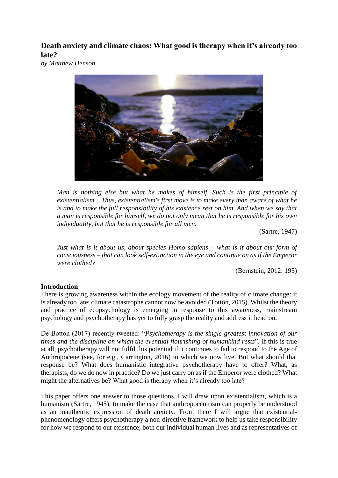**Death anxiety and climate chaos: What good is therapy when it's already too late?**

*by Matthew Henson*



*Man is nothing else but what he makes of himself. Such is the first principle of existentialism... Thus, existentialism's first move is to make every man aware of what he is and to make the full responsibility of his existence rest on him. And when we say that a man is responsible for himself, we do not only mean that he is responsible for his own individuality, but that he is responsible for all men.*

(Sartre, 1947)

*Just what is it about us, about species Homo sapiens – what is it about our form of consciousness – that can look self-extinction in the eye and continue on as if the Emperor were clothed?*

(Bernstein, 2012: 195)

# **Introduction**

There is growing awareness within the ecology movement of the reality of climate change: it is already too late; climate catastrophe cannot now be avoided (Totton, 2015). Whilst the theory and practice of ecopsychology is emerging in response to this awareness, mainstream psychology and psychotherapy has yet to fully grasp the reality and address it head on.

De Botton (2017) recently tweeted: "*Psychotherapy is the single greatest innovation of our times and the discipline on which the eventual flourishing of humankind rests*". If this is true at all, psychotherapy will not fulfil this potential if it continues to fail to respond to the Age of Anthropocene (see, for e.g., Carrington, 2016) in which we now live. But what should that response be? What does humanistic integrative psychotherapy have to offer? What, as therapists, do we do now in practice? Do we just carry on as if the Emperor were clothed? What might the alternatives be? What good is therapy when it's already too late?

This paper offers one answer to those questions. I will draw upon existentialism, which is a humanism (Sartre, 1945), to make the case that anthropocentrism can properly be understood as an inauthentic expression of death anxiety. From there I will argue that existentialphenomenology offers psychotherapy a non-directive framework to help us take responsibility for how we respond to our existence; both our individual human lives and as representatives of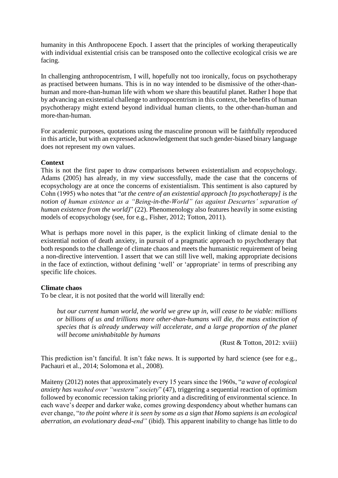humanity in this Anthropocene Epoch. I assert that the principles of working therapeutically with individual existential crisis can be transposed onto the collective ecological crisis we are facing.

In challenging anthropocentrism, I will, hopefully not too ironically, focus on psychotherapy as practised between humans. This is in no way intended to be dismissive of the other-thanhuman and more-than-human life with whom we share this beautiful planet. Rather I hope that by advancing an existential challenge to anthropocentrism in this context, the benefits of human psychotherapy might extend beyond individual human clients, to the other-than-human and more-than-human.

For academic purposes, quotations using the masculine pronoun will be faithfully reproduced in this article, but with an expressed acknowledgement that such gender-biased binary language does not represent my own values.

## **Context**

This is not the first paper to draw comparisons between existentialism and ecopsychology. Adams (2005) has already, in my view successfully, made the case that the concerns of ecopsychology are at once the concerns of existentialism. This sentiment is also captured by Cohn (1995) who notes that "*at the centre of an existential approach [to psychotherapy] is the notion of human existence as a "Being-in-the-World" (as against Descartes' separation of human existence from the world)*" (22). Phenomenology also features heavily in some existing models of ecopsychology (see, for e.g., Fisher, 2012; Totton, 2011).

What is perhaps more novel in this paper, is the explicit linking of climate denial to the existential notion of death anxiety, in pursuit of a pragmatic approach to psychotherapy that both responds to the challenge of climate chaos and meets the humanistic requirement of being a non-directive intervention. I assert that we can still live well, making appropriate decisions in the face of extinction, without defining 'well' or 'appropriate' in terms of prescribing any specific life choices.

### **Climate chaos**

To be clear, it is not posited that the world will literally end:

*but our current human world, the world we grew up in, will cease to be viable: millions or billions of us and trillions more other-than-humans will die, the mass extinction of species that is already underway will accelerate, and a large proportion of the planet will become uninhabitable by humans*

(Rust & Totton, 2012: xviii)

This prediction isn't fanciful. It isn't fake news. It is supported by hard science (see for e.g., Pachauri et al., 2014; Solomona et al., 2008).

Maiteny (2012) notes that approximately every 15 years since the 1960s, "*a wave of ecological anxiety has washed over "western" society*" (47), triggering a sequential reaction of optimism followed by economic recession taking priority and a discrediting of environmental science. In each wave's deeper and darker wake, comes growing despondency about whether humans can ever change, "*to the point where it is seen by some as a sign that Homo sapiens is an ecological aberration, an evolutionary dead-end"* (ibid). This apparent inability to change has little to do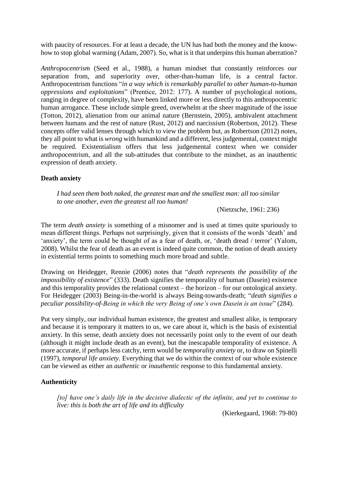with paucity of resources. For at least a decade, the UN has had both the money and the knowhow to stop global warming (Adam, 2007). So, what is it that underpins this human aberration?

*Anthropocentrism* (Seed et al., 1988), a human mindset that constantly reinforces our separation from, and superiority over, other-than-human life, is a central factor. Anthropocentrism functions "*in a way which is remarkably parallel to other human-to-human oppressions and exploitations*" (Prentice, 2012: 177). A number of psychological notions, ranging in degree of complexity, have been linked more or less directly to this anthropocentric human arrogance. These include simple greed, overwhelm at the sheer magnitude of the issue (Totton, 2012), alienation from our animal nature (Bernstein, 2005), ambivalent attachment between humans and the rest of nature (Rust, 2012) and narcissism (Robertson, 2012). These concepts offer valid lenses through which to view the problem but, as Robertson (2012) notes, they all point to what is *wrong* with humankind and a different, less judgemental, context might be required. Existentialism offers that less judgemental context when we consider anthropocentrism, and all the sub-attitudes that contribute to the mindset, as an inauthentic expression of death anxiety.

### **Death anxiety**

*I had seen them both naked, the greatest man and the smallest man: all too similar to one another, even the greatest all too human!*

(Nietzsche, 1961: 236)

The term *death anxiety* is something of a misnomer and is used at times quite spuriously to mean different things. Perhaps not surprisingly, given that it consists of the words 'death' and 'anxiety', the term could be thought of as a fear of death, or, 'death dread / terror' (Yalom, 2008). Whilst the fear of death as an event is indeed quite common, the notion of death anxiety in existential terms points to something much more broad and subtle.

Drawing on Heidegger, Rennie (2006) notes that "*death represents the possibility of the impossibility of existence*" (333). Death signifies the temporality of human (Dasein) existence and this temporality provides the relational context – the horizon – for our ontological anxiety. For Heidegger (2003) Being-in-the-world is always Being-towards-death; "*death signifies a peculiar possibility-of-Being in which the very Being of one's own Dasein is an issue*" (284).

Put very simply, our individual human existence, the greatest and smallest alike, is temporary and because it is temporary it matters to us, we care about it, which is the basis of existential anxiety. In this sense, death anxiety does not necessarily point only to the event of our death (although it might include death as an event), but the inescapable temporality of existence. A more accurate, if perhaps less catchy, term would be *temporality anxiety* or, to draw on Spinelli (1997), *temporal life anxiety.* Everything that we do within the context of our whole existence can be viewed as either an *authentic* or *inauthentic* response to this fundamental anxiety.

#### **Authenticity**

*[to] have one's daily life in the decisive dialectic of the infinite, and yet to continue to live: this is both the art of life and its difficulty*

(Kierkegaard, 1968: 79-80)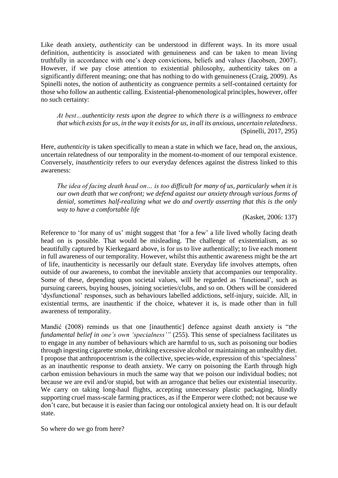Like death anxiety, *authenticity* can be understood in different ways. In its more usual definition, authenticity is associated with genuineness and can be taken to mean living truthfully in accordance with one's deep convictions, beliefs and values (Jacobsen, 2007). However, if we pay close attention to existential philosophy, authenticity takes on a significantly different meaning; one that has nothing to do with genuineness (Craig, 2009). As Spinelli notes, the notion of authenticity as congruence permits a self-contained certainty for those who follow an authentic calling. Existential-phenomenological principles, however, offer no such certainty:

*At best…authenticity rests upon the degree to which there is a willingness to embrace that which exists for us, in the way it exists for us, in all its anxious, uncertain relatedness*. (Spinelli, 2017, 295)

Here, *authenticity* is taken specifically to mean a state in which we face, head on, the anxious, uncertain relatedness of our temporality in the moment-to-moment of our temporal existence. Conversely, *inauthenticity* refers to our everyday defences against the distress linked to this awareness:

*The idea of facing death head on… is too difficult for many of us, particularly when it is our own death that we confront; we defend against our anxiety through various forms of denial, sometimes half-realizing what we do and overtly asserting that this is the only way to have a comfortable life*

(Kasket, 2006: 137)

Reference to 'for many of us' might suggest that 'for a few' a life lived wholly facing death head on is possible. That would be misleading. The challenge of existentialism, as so beautifully captured by Kierkegaard above, is for us to live authentically; to live each moment in full awareness of our temporality. However, whilst this authentic awareness might be the art of life, inauthenticity is necessarily our default state. Everyday life involves attempts, often outside of our awareness, to combat the inevitable anxiety that accompanies our temporality. Some of these, depending upon societal values, will be regarded as 'functional', such as pursuing careers, buying houses, joining societies/clubs, and so on. Others will be considered 'dysfunctional' responses, such as behaviours labelled addictions, self-injury, suicide. All, in existential terms, are inauthentic if the choice, whatever it is, is made other than in full awareness of temporality.

Mandić (2008) reminds us that one [inauthentic] defence against death anxiety is "*the fundamental belief in one's own 'specialness'"* (255). This sense of specialness facilitates us to engage in any number of behaviours which are harmful to us, such as poisoning our bodies through ingesting cigarette smoke, drinking excessive alcohol or maintaining an unhealthy diet. I propose that anthropocentrism is the collective, species-wide, expression of this 'specialness' as an inauthentic response to death anxiety. We carry on poisoning the Earth through high carbon emission behaviours in much the same way that we poison our individual bodies; not because we are evil and/or stupid, but with an arrogance that belies our existential insecurity. We carry on taking long-haul flights, accepting unnecessary plastic packaging, blindly supporting cruel mass-scale farming practices, as if the Emperor were clothed; not because we don't care, but because it is easier than facing our ontological anxiety head on. It is our default state.

So where do we go from here?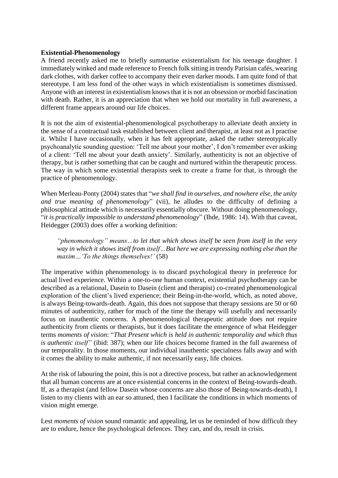#### **Existential-Phenomenology**

A friend recently asked me to briefly summarise existentialism for his teenage daughter. I immediately winked and made reference to French folk sitting in trendy Parisian cafés, wearing dark clothes, with darker coffee to accompany their even darker moods. I am quite fond of that stereotype. I am less fond of the other ways in which existentialism is sometimes dismissed. Anyone with an interest in existentialism knows that it is not an obsession or morbid fascination with death. Rather, it is an appreciation that when we hold our mortality in full awareness, a different frame appears around our life choices.

It is not the aim of existential-phenomenological psychotherapy to alleviate death anxiety in the sense of a contractual task established between client and therapist, at least not as I practise it. Whilst I have occasionally, when it has felt appropriate, asked the rather stereotypically psychoanalytic sounding question: 'Tell me about your mother', I don't remember ever asking of a client: 'Tell me about your death anxiety'. Similarly, authenticity is not an objective of therapy, but is rather something that can be caught and nurtured within the therapeutic process. The way in which some existential therapists seek to create a frame for that, is through the practice of phenomenology.

When Merleau-Ponty (2004) states that "*we shall find in ourselves, and nowhere else, the unity and true meaning of phenomenology*" (vii), he alludes to the difficulty of defining a philosophical attitude which is necessarily essentially obscure. Without doing phenomenology, "*it is practically impossible to understand phenomenology*" (Ihde, 1986: 14). With that caveat, Heidegger (2003) does offer a working definition:

*"phenomenology" means…to let that which shows itself be seen from itself in the very way in which it shows itself from itself…But here we are expressing nothing else than the maxim…'To the things themselves!'* (58)

The imperative within phenomenology is to discard psychological theory in preference for actual lived experience. Within a one-to-one human context, existential psychotherapy can be described as a relational, Dasein to Dasein (client and therapist) co-created phenomenological exploration of the client's lived experience; their Being-in-the-world, which, as noted above, is always Being-towards-death. Again, this does not suppose that therapy sessions are 50 or 60 minutes of authenticity, rather for much of the time the therapy will usefully and necessarily focus on inauthentic concerns. A phenomenological therapeutic attitude does not require authenticity from clients or therapists, but it does facilitate the emergence of what Heidegger terms *moments of vision*: "*That Present which is held in authentic temporality and which thus is authentic itself"* (ibid: 387); when our life choices become framed in the full awareness of our temporality. In those moments, our individual inauthentic specialness falls away and with it comes the ability to make authentic, if not necessarily easy, life choices.

At the risk of labouring the point, this is not a directive process, but rather an acknowledgement that all human concerns are at once existential concerns in the context of Being-towards-death. If, as a therapist (and fellow Dasein whose concerns are also those of Being-towards-death), I listen to my clients with an ear so attuned, then I facilitate the conditions in which moments of vision might emerge.

Lest *moments of vision* sound romantic and appealing, let us be reminded of how difficult they are to endure, hence the psychological defences. They can, and do, result in crisis.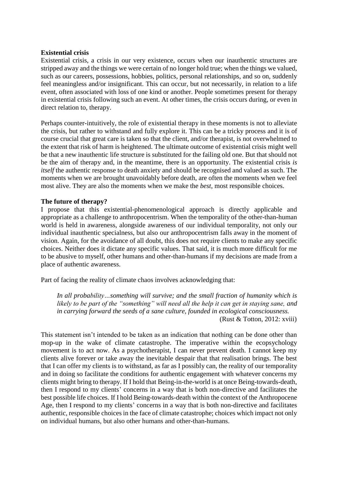### **Existential crisis**

Existential crisis, a crisis in our very existence, occurs when our inauthentic structures are stripped away and the things we were certain of no longer hold true; when the things we valued, such as our careers, possessions, hobbies, politics, personal relationships, and so on, suddenly feel meaningless and/or insignificant. This can occur, but not necessarily, in relation to a life event, often associated with loss of one kind or another. People sometimes present for therapy in existential crisis following such an event. At other times, the crisis occurs during, or even in direct relation to, therapy.

Perhaps counter-intuitively, the role of existential therapy in these moments is not to alleviate the crisis, but rather to withstand and fully explore it. This can be a tricky process and it is of course crucial that great care is taken so that the client, and/or therapist, is not overwhelmed to the extent that risk of harm is heightened. The ultimate outcome of existential crisis might well be that a new inauthentic life structure is substituted for the failing old one. But that should not be the aim of therapy and, in the meantime, there is an opportunity. The existential crisis *is itself* the authentic response to death anxiety and should be recognised and valued as such. The moments when we are brought unavoidably before death, are often the moments when we feel most alive. They are also the moments when we make the *best*, most responsible choices.

#### **The future of therapy?**

I propose that this existential-phenomenological approach is directly applicable and appropriate as a challenge to anthropocentrism. When the temporality of the other-than-human world is held in awareness, alongside awareness of our individual temporality, not only our individual inauthentic specialness, but also our anthropocentrism falls away in the moment of vision. Again, for the avoidance of all doubt, this does not require clients to make any specific choices. Neither does it dictate any specific values. That said, it is much more difficult for me to be abusive to myself, other humans and other-than-humans if my decisions are made from a place of authentic awareness.

Part of facing the reality of climate chaos involves acknowledging that:

*In all probability…something will survive; and the small fraction of humanity which is likely to be part of the "something" will need all the help it can get in staying sane, and in carrying forward the seeds of a sane culture, founded in ecological consciousness.* (Rust & Totton, 2012: xviii)

This statement isn't intended to be taken as an indication that nothing can be done other than mop-up in the wake of climate catastrophe. The imperative within the ecopsychology movement is to act now. As a psychotherapist, I can never prevent death. I cannot keep my clients alive forever or take away the inevitable despair that that realisation brings. The best that I can offer my clients is to withstand, as far as I possibly can, the reality of our temporality and in doing so facilitate the conditions for authentic engagement with whatever concerns my clients might bring to therapy. If I hold that Being-in-the-world is at once Being-towards-death, then I respond to my clients' concerns in a way that is both non-directive and facilitates the best possible life choices. If I hold Being-towards-death within the context of the Anthropocene Age, then I respond to my clients' concerns in a way that is both non-directive and facilitates authentic, responsible choices in the face of climate catastrophe; choices which impact not only on individual humans, but also other humans and other-than-humans.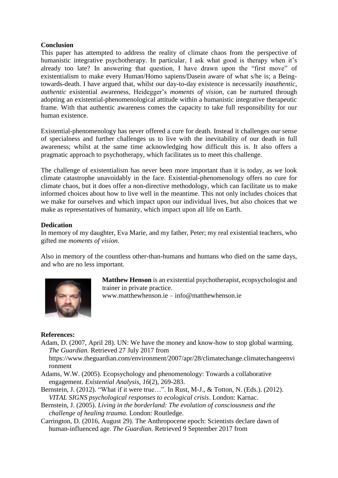## **Conclusion**

This paper has attempted to address the reality of climate chaos from the perspective of humanistic integrative psychotherapy. In particular, I ask what good is therapy when it's already too late? In answering that question, I have drawn upon the "first move" of existentialism to make every Human/Homo sapiens/Dasein aware of what s/he is; a Beingtowards-death. I have argued that, whilst our day-to-day existence is necessarily *inauthentic*, *authentic* existential awareness, Heidegger's *moments of vision*, can be nurtured through adopting an existential-phenomenological attitude within a humanistic integrative therapeutic frame. With that authentic awareness comes the capacity to take full responsibility for our human existence.

Existential-phenomenology has never offered a cure for death. Instead it challenges our sense of specialness and further challenges us to live with the inevitability of our death in full awareness; whilst at the same time acknowledging how difficult this is. It also offers a pragmatic approach to psychotherapy, which facilitates us to meet this challenge.

The challenge of existentialism has never been more important than it is today, as we look climate catastrophe unavoidably in the face. Existential-phenomenology offers no cure for climate chaos, but it does offer a non-directive methodology, which can facilitate us to make informed choices about how to live well in the meantime. This not only includes choices that we make for ourselves and which impact upon our individual lives, but also choices that we make as representatives of humanity, which impact upon all life on Earth.

## **Dedication**

In memory of my daughter, Eva Marie, and my father, Peter; my real existential teachers, who gifted me *moments of vision*.

Also in memory of the countless other-than-humans and humans who died on the same days, and who are no less important.



**Matthew Henson** is an existential psychotherapist, ecopsychologist and trainer in private practice.

www.matthewhenson.ie – info@matthewhenson.ie

### **References:**

Adam, D. (2007, April 28). UN: We have the money and know-how to stop global warming. *The Guardian.* Retrieved 27 July 2017 from

https://www.theguardian.com/environment/2007/apr/28/climatechange.climatechangeenvi ronment

- Adams, W.W. (2005). Ecopsychology and phenomenology: Towards a collaborative engagement. *Existential Analysis, 16*(2), 269-283.
- Bernstein, J. (2012). "What if it were true…". In Rust, M-J., & Totton, N. (Eds.). (2012). *VITAL SIGNS psychological responses to ecological crisis*. London: Karnac.
- Bernstein, J. (2005). *Living in the borderland: The evolution of consciousness and the challenge of healing trauma*. London: Routledge.
- Carrington, D. (2016, August 29). The Anthropocene epoch: Scientists declare dawn of human-influenced age. *The Guardian.* Retrieved 9 September 2017 from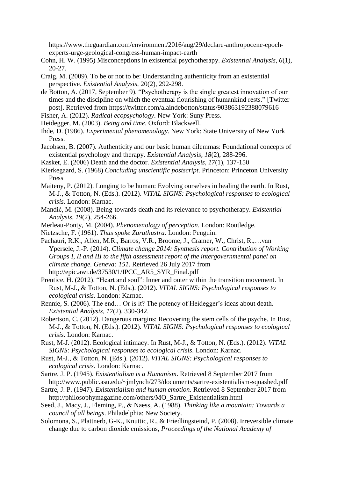https://www.theguardian.com/environment/2016/aug/29/declare-anthropocene-epochexperts-urge-geological-congress-human-impact-earth

Cohn, H. W. (1995) Misconceptions in existential psychotherapy. *Existential Analysis, 6*(1), 20-27.

Craig, M. (2009). To be or not to be: Understanding authenticity from an existential perspective. *Existential Analysis,* 20(2), 292-298.

- de Botton, A. (2017, September 9). "Psychotherapy is the single greatest innovation of our times and the discipline on which the eventual flourishing of humankind rests." [Twitter post]. Retrieved from https://twitter.com/alaindebotton/status/903863192388079616
- Fisher, A. (2012). *Radical ecopsychology*. New York: Suny Press.
- Heidegger, M. (2003). *Being and time*. Oxford: Blackwell.
- Ihde, D. (1986). *Experimental phenomenology.* New York: State University of New York Press.
- Jacobsen, B. (2007). Authenticity and our basic human dilemmas: Foundational concepts of existential psychology and therapy. *Existential Analysis, 18*(2), 288-296.
- Kasket, E. (2006) Death and the doctor. *Existential Analysis, 17*(1), 137-150
- Kierkegaard, S. (1968) *Concluding unscientific postscript*. Princeton: Princeton University Press
- Maiteny, P. (2012). Longing to be human: Evolving ourselves in healing the earth. In Rust, M-J., & Totton, N. (Eds.). (2012). *VITAL SIGNS: Psychological responses to ecological crisis*. London: Karnac.
- Mandić, M. (2008). Being-towards-death and its relevance to psychotherapy. *Existential Analysis, 19*(2), 254-266.
- Merleau-Ponty, M. (2004). *Phenomenology of perception*. London: Routledge.
- Nietzsche, F. (1961). *Thus spoke Zarathustra.* London: Penguin.
- Pachauri, R.K., Allen, M.R., Barros, V.R., Broome, J., Cramer, W., Christ, R.,…van Ypersele, J.-P. (2014). *Climate change 2014: Synthesis report. Contribution of Working Groups I, II and III to the fifth assessment report of the intergovernmental panel on climate change. Geneva: 151*. Retrieved 26 July 2017 from http://epic.awi.de/37530/1/IPCC\_AR5\_SYR\_Final.pdf
- Prentice, H. (2012). "Heart and soul": Inner and outer within the transition movement. In Rust, M-J., & Totton, N. (Eds.). (2012). *VITAL SIGNS: Psychological responses to ecological crisis*. London: Karnac.
- Rennie, S. (2006). The end… Or is it? The potency of Heidegger's ideas about death. *Existential Analysis, 17*(2), 330-342.
- Robertson, C. (2012). Dangerous margins: Recovering the stem cells of the psyche. In Rust, M-J., & Totton, N. (Eds.). (2012). *VITAL SIGNS: Psychological responses to ecological crisis*. London: Karnac.
- Rust, M-J. (2012). Ecological intimacy. In Rust, M-J., & Totton, N. (Eds.). (2012). *VITAL SIGNS: Psychological responses to ecological crisis*. London: Karnac.
- Rust, M-J., & Totton, N. (Eds.). (2012). *VITAL SIGNS: Psychological responses to ecological crisis*. London: Karnac.
- Sartre, J. P. (1945). *Existentialism is a Humanism*. Retrieved 8 September 2017 from http://www.public.asu.edu/~jmlynch/273/documents/sartre-existentialism-squashed.pdf
- Sartre, J. P. (1947). *Existentialism and human emotion*. Retrieved 8 September 2017 from http://philosophymagazine.com/others/MO\_Sartre\_Existentialism.html
- Seed, J., Macy, J., Fleming, P., & Naess, A. (1988). *Thinking like a mountain: Towards a council of all beings*. Philadelphia: New Society.
- Solomona, S., Plattnerb, G-K., Knuttic, R., & Friedlingsteind, P. (2008). Irreversible climate change due to carbon dioxide emissions, *Proceedings of the National Academy of*